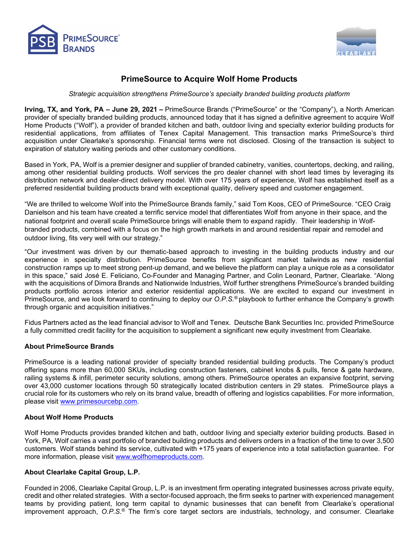



# **PrimeSource to Acquire Wolf Home Products**

*Strategic acquisition strengthens PrimeSource's specialty branded building products platform*

**Irving, TX, and York, PA – June 29, 2021 –** PrimeSource Brands ("PrimeSource" or the "Company"), a North American provider of specialty branded building products, announced today that it has signed a definitive agreement to acquire Wolf Home Products ("Wolf"), a provider of branded kitchen and bath, outdoor living and specialty exterior building products for residential applications, from affiliates of Tenex Capital Management. This transaction marks PrimeSource's third acquisition under Clearlake's sponsorship. Financial terms were not disclosed. Closing of the transaction is subject to expiration of statutory waiting periods and other customary conditions.

Based in York, PA, Wolf is a premier designer and supplier of branded cabinetry, vanities, countertops, decking, and railing, among other residential building products. Wolf services the pro dealer channel with short lead times by leveraging its distribution network and dealer-direct delivery model. With over 175 years of experience, Wolf has established itself as a preferred residential building products brand with exceptional quality, delivery speed and customer engagement.

"We are thrilled to welcome Wolf into the PrimeSource Brands family," said Tom Koos, CEO of PrimeSource. "CEO Craig Danielson and his team have created a terrific service model that differentiates Wolf from anyone in their space, and the national footprint and overall scale PrimeSource brings will enable them to expand rapidly. Their leadership in Wolfbranded products, combined with a focus on the high growth markets in and around residential repair and remodel and outdoor living, fits very well with our strategy."

"Our investment was driven by our thematic-based approach to investing in the building products industry and our experience in specialty distribution. PrimeSource benefits from significant market tailwinds as new residential construction ramps up to meet strong pent-up demand, and we believe the platform can play a unique role as a consolidator in this space," said José E. Feliciano, Co-Founder and Managing Partner, and Colin Leonard, Partner, Clearlake. "Along with the acquisitions of Dimora Brands and Nationwide Industries, Wolf further strengthens PrimeSource's branded building products portfolio across interior and exterior residential applications. We are excited to expand our investment in PrimeSource, and we look forward to continuing to deploy our *O.P.S.®* playbook to further enhance the Company's growth through organic and acquisition initiatives."

Fidus Partners acted as the lead financial advisor to Wolf and Tenex. Deutsche Bank Securities Inc. provided PrimeSource a fully committed credit facility for the acquisition to supplement a significant new equity investment from Clearlake.

#### **About PrimeSource Brands**

PrimeSource is a leading national provider of specialty branded residential building products. The Company's product offering spans more than 60,000 SKUs, including construction fasteners, cabinet knobs & pulls, fence & gate hardware, railing systems & infill, perimeter security solutions, among others. PrimeSource operates an expansive footprint, serving over 43,000 customer locations through 50 strategically located distribution centers in 29 states. PrimeSource plays a crucial role for its customers who rely on its brand value, breadth of offering and logistics capabilities. For more information, please visit [www.primesourcebp.com.](http://www.primesourcebp.com/)

#### **About Wolf Home Products**

Wolf Home Products provides branded kitchen and bath, outdoor living and specialty exterior building products. Based in York, PA, Wolf carries a vast portfolio of branded building products and delivers orders in a fraction of the time to over 3,500 customers. Wolf stands behind its service, cultivated with +175 years of experience into a total satisfaction guarantee. For more information, please visit [www.wolfhomeproducts.com.](http://www.wolfhomeproducts.com/)

## **About Clearlake Capital Group, L.P.**

Founded in 2006, Clearlake Capital Group, L.P. is an investment firm operating integrated businesses across private equity, credit and other related strategies. With a sector-focused approach, the firm seeks to partner with experienced management teams by providing patient, long term capital to dynamic businesses that can benefit from Clearlake's operational improvement approach, *O.P.S.*® The firm's core target sectors are industrials, technology, and consumer. Clearlake